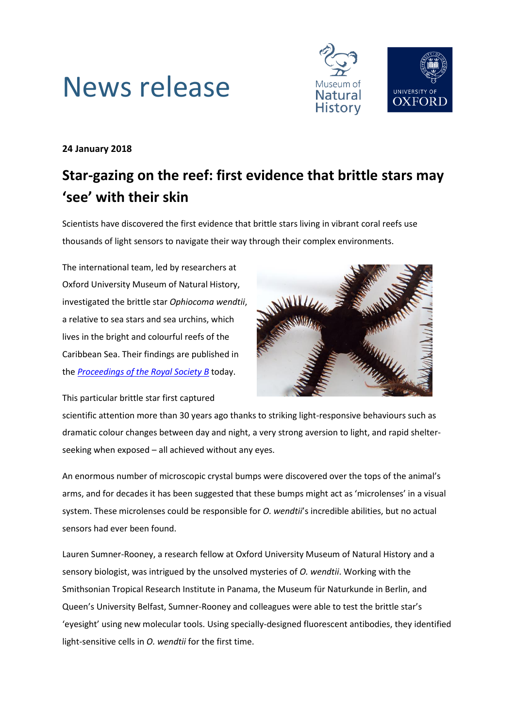



## **24 January 2018**

# **Star-gazing on the reef: first evidence that brittle stars may 'see' with their skin**

Scientists have discovered the first evidence that brittle stars living in vibrant coral reefs use thousands of light sensors to navigate their way through their complex environments.

The international team, led by researchers at Oxford University Museum of Natural History, investigated the brittle star *Ophiocoma wendtii*, a relative to sea stars and sea urchins, which lives in the bright and colourful reefs of the Caribbean Sea. Their findings are published in the *[Proceedings of the Royal Society B](http://rspb.royalsocietypublishing.org/content/285/1871/20172590)* today.



This particular brittle star first captured

scientific attention more than 30 years ago thanks to striking light-responsive behaviours such as dramatic colour changes between day and night, a very strong aversion to light, and rapid shelterseeking when exposed – all achieved without any eyes.

An enormous number of microscopic crystal bumps were discovered over the tops of the animal's arms, and for decades it has been suggested that these bumps might act as 'microlenses' in a visual system. These microlenses could be responsible for *O. wendtii*'s incredible abilities, but no actual sensors had ever been found.

Lauren Sumner-Rooney, a research fellow at Oxford University Museum of Natural History and a sensory biologist, was intrigued by the unsolved mysteries of *O. wendtii*. Working with the Smithsonian Tropical Research Institute in Panama, the Museum für Naturkunde in Berlin, and Queen's University Belfast, Sumner-Rooney and colleagues were able to test the brittle star's 'eyesight' using new molecular tools. Using specially-designed fluorescent antibodies, they identified light-sensitive cells in *O. wendtii* for the first time.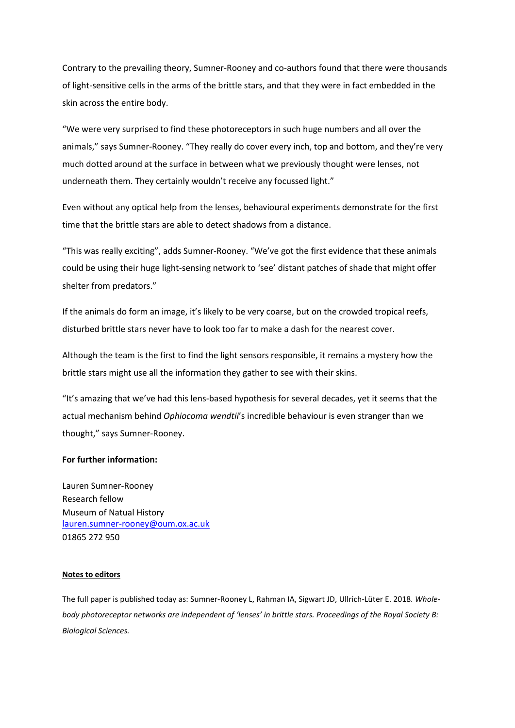Contrary to the prevailing theory, Sumner-Rooney and co-authors found that there were thousands of light-sensitive cells in the arms of the brittle stars, and that they were in fact embedded in the skin across the entire body.

"We were very surprised to find these photoreceptors in such huge numbers and all over the animals," says Sumner-Rooney. "They really do cover every inch, top and bottom, and they're very much dotted around at the surface in between what we previously thought were lenses, not underneath them. They certainly wouldn't receive any focussed light."

Even without any optical help from the lenses, behavioural experiments demonstrate for the first time that the brittle stars are able to detect shadows from a distance.

"This was really exciting", adds Sumner-Rooney. "We've got the first evidence that these animals could be using their huge light-sensing network to 'see' distant patches of shade that might offer shelter from predators."

If the animals do form an image, it's likely to be very coarse, but on the crowded tropical reefs, disturbed brittle stars never have to look too far to make a dash for the nearest cover.

Although the team is the first to find the light sensors responsible, it remains a mystery how the brittle stars might use all the information they gather to see with their skins.

"It's amazing that we've had this lens-based hypothesis for several decades, yet it seems that the actual mechanism behind *Ophiocoma wendtii*'s incredible behaviour is even stranger than we thought," says Sumner-Rooney.

### **For further information:**

Lauren Sumner-Rooney Research fellow Museum of Natual History [lauren.sumner-rooney@oum.ox.ac.uk](mailto:lauren.sumner-rooney@oum.ox.ac.uk) 01865 272 950

#### **Notes to editors**

The full paper is published today as: Sumner-Rooney L, Rahman IA, Sigwart JD, Ullrich-Lüter E. 2018. *Wholebody photoreceptor networks are independent of 'lenses' in brittle stars. Proceedings of the Royal Society B: Biological Sciences.*